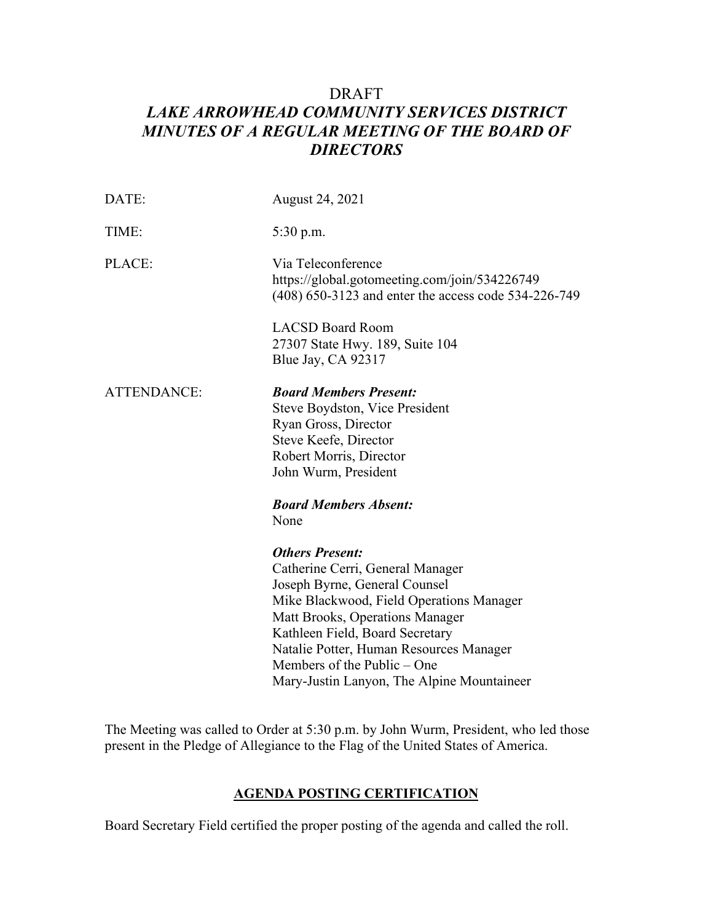# DRAFT *LAKE ARROWHEAD COMMUNITY SERVICES DISTRICT*  **MINUTES OF A REGULAR MEETING OF THE BOARD OF** *DIRECTORS*

| DATE:       | August 24, 2021                                                                                                                                                                                                                                                                                                                       |  |
|-------------|---------------------------------------------------------------------------------------------------------------------------------------------------------------------------------------------------------------------------------------------------------------------------------------------------------------------------------------|--|
| TIME:       | 5:30 p.m.                                                                                                                                                                                                                                                                                                                             |  |
| PLACE:      | Via Teleconference<br>https://global.gotomeeting.com/join/534226749<br>(408) 650-3123 and enter the access code 534-226-749                                                                                                                                                                                                           |  |
|             | <b>LACSD Board Room</b><br>27307 State Hwy. 189, Suite 104<br>Blue Jay, CA 92317                                                                                                                                                                                                                                                      |  |
| ATTENDANCE: | <b>Board Members Present:</b><br>Steve Boydston, Vice President<br>Ryan Gross, Director<br>Steve Keefe, Director<br>Robert Morris, Director<br>John Wurm, President<br><b>Board Members Absent:</b><br>None                                                                                                                           |  |
|             | <b>Others Present:</b><br>Catherine Cerri, General Manager<br>Joseph Byrne, General Counsel<br>Mike Blackwood, Field Operations Manager<br>Matt Brooks, Operations Manager<br>Kathleen Field, Board Secretary<br>Natalie Potter, Human Resources Manager<br>Members of the Public – One<br>Mary-Justin Lanyon, The Alpine Mountaineer |  |

The Meeting was called to Order at 5:30 p.m. by John Wurm, President, who led those present in the Pledge of Allegiance to the Flag of the United States of America.

#### **AGENDA POSTING CERTIFICATION**

Board Secretary Field certified the proper posting of the agenda and called the roll.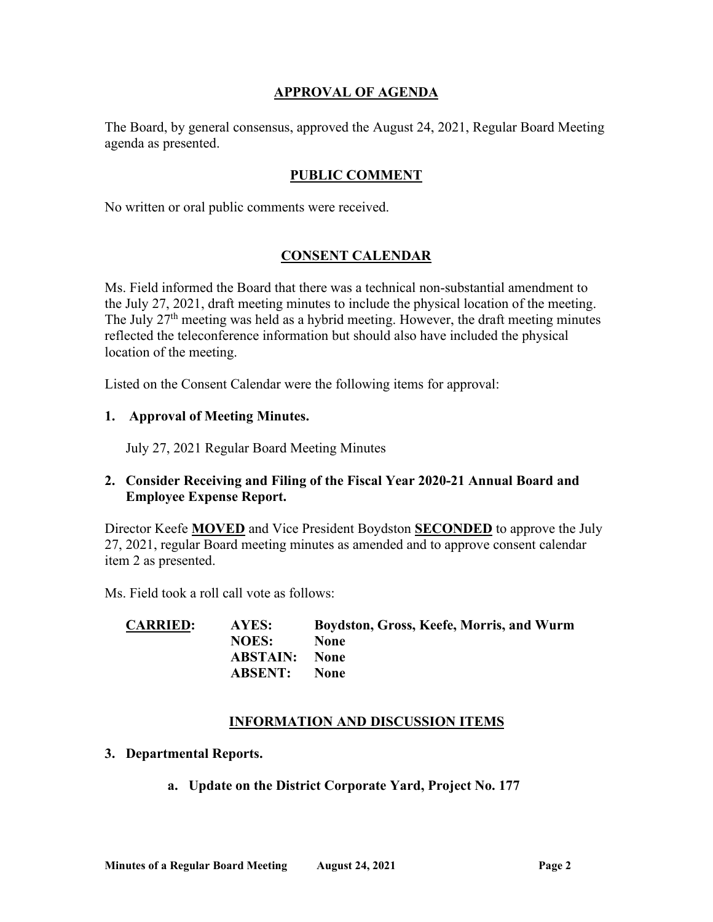### **APPROVAL OF AGENDA**

The Board, by general consensus, approved the August 24, 2021, Regular Board Meeting agenda as presented.

## **PUBLIC COMMENT**

No written or oral public comments were received.

## **CONSENT CALENDAR**

Ms. Field informed the Board that there was a technical non-substantial amendment to the July 27, 2021, draft meeting minutes to include the physical location of the meeting. The July 27<sup>th</sup> meeting was held as a hybrid meeting. However, the draft meeting minutes reflected the teleconference information but should also have included the physical location of the meeting.

Listed on the Consent Calendar were the following items for approval:

#### **1. Approval of Meeting Minutes.**

July 27, 2021 Regular Board Meeting Minutes

## **2. Consider Receiving and Filing of the Fiscal Year 2020-21 Annual Board and Employee Expense Report.**

Director Keefe **MOVED** and Vice President Boydston **SECONDED** to approve the July 27, 2021, regular Board meeting minutes as amended and to approve consent calendar item 2 as presented.

Ms. Field took a roll call vote as follows:

| <b>CARRIED:</b> | AYES:                | Boydston, Gross, Keefe, Morris, and Wurm |
|-----------------|----------------------|------------------------------------------|
|                 | <b>NOES:</b>         | <b>None</b>                              |
|                 | <b>ABSTAIN:</b> None |                                          |
|                 | <b>ABSENT:</b>       | <b>None</b>                              |

#### **INFORMATION AND DISCUSSION ITEMS**

- **3. Departmental Reports.** 
	- **a. Update on the District Corporate Yard, Project No. 177**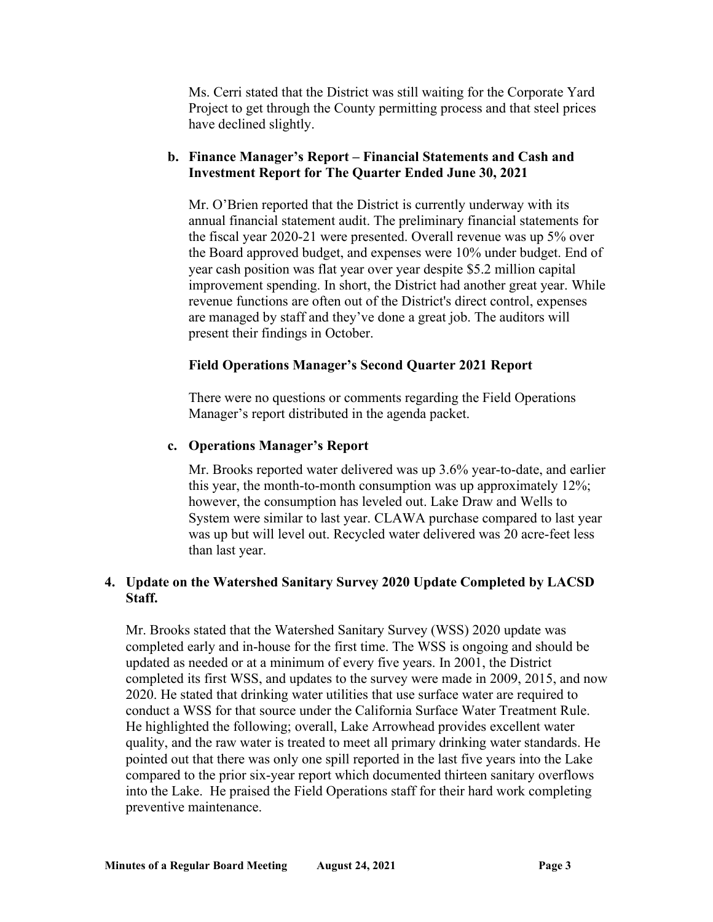Ms. Cerri stated that the District was still waiting for the Corporate Yard Project to get through the County permitting process and that steel prices have declined slightly.

# **b. Finance Manager's Report – Financial Statements and Cash and Investment Report for The Quarter Ended June 30, 2021**

Mr. O'Brien reported that the District is currently underway with its annual financial statement audit. The preliminary financial statements for the fiscal year 2020-21 were presented. Overall revenue was up 5% over the Board approved budget, and expenses were 10% under budget. End of year cash position was flat year over year despite \$5.2 million capital improvement spending. In short, the District had another great year. While revenue functions are often out of the District's direct control, expenses are managed by staff and they've done a great job. The auditors will present their findings in October.

## **Field Operations Manager's Second Quarter 2021 Report**

There were no questions or comments regarding the Field Operations Manager's report distributed in the agenda packet.

# **c. Operations Manager's Report**

Mr. Brooks reported water delivered was up 3.6% year-to-date, and earlier this year, the month-to-month consumption was up approximately 12%; however, the consumption has leveled out. Lake Draw and Wells to System were similar to last year. CLAWA purchase compared to last year was up but will level out. Recycled water delivered was 20 acre-feet less than last year.

# **4. Update on the Watershed Sanitary Survey 2020 Update Completed by LACSD Staff.**

Mr. Brooks stated that the Watershed Sanitary Survey (WSS) 2020 update was completed early and in-house for the first time. The WSS is ongoing and should be updated as needed or at a minimum of every five years. In 2001, the District completed its first WSS, and updates to the survey were made in 2009, 2015, and now 2020. He stated that drinking water utilities that use surface water are required to conduct a WSS for that source under the California Surface Water Treatment Rule. He highlighted the following; overall, Lake Arrowhead provides excellent water quality, and the raw water is treated to meet all primary drinking water standards. He pointed out that there was only one spill reported in the last five years into the Lake compared to the prior six-year report which documented thirteen sanitary overflows into the Lake. He praised the Field Operations staff for their hard work completing preventive maintenance.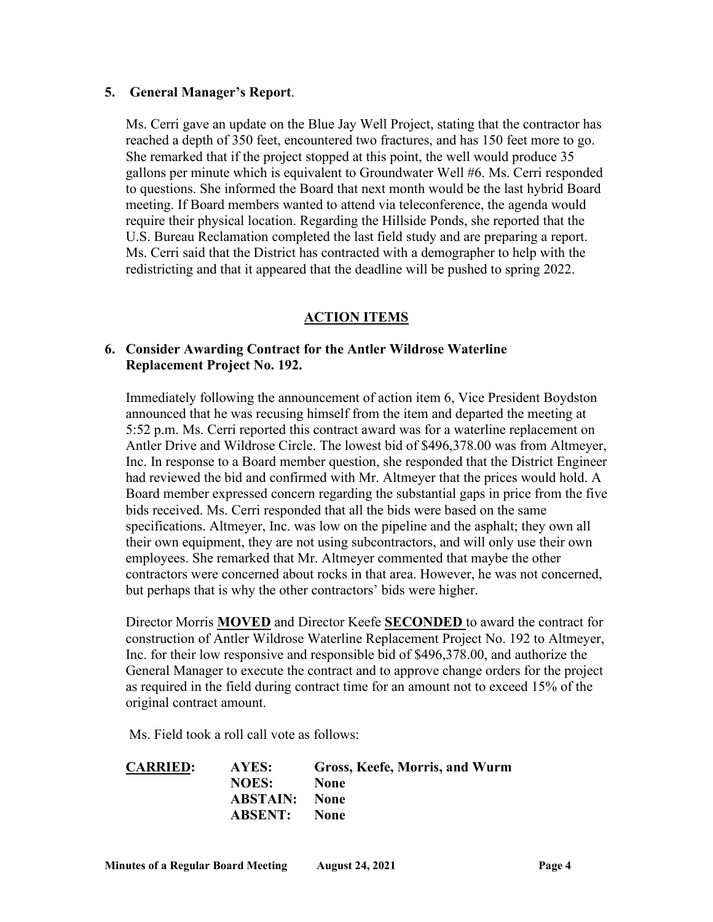#### **5. General Manager's Report**.

Ms. Cerri gave an update on the Blue Jay Well Project, stating that the contractor has reached a depth of 350 feet, encountered two fractures, and has 150 feet more to go. She remarked that if the project stopped at this point, the well would produce 35 gallons per minute which is equivalent to Groundwater Well #6. Ms. Cerri responded to questions. She informed the Board that next month would be the last hybrid Board meeting. If Board members wanted to attend via teleconference, the agenda would require their physical location. Regarding the Hillside Ponds, she reported that the U.S. Bureau Reclamation completed the last field study and are preparing a report. Ms. Cerri said that the District has contracted with a demographer to help with the redistricting and that it appeared that the deadline will be pushed to spring 2022.

# **ACTION ITEMS**

## **6. Consider Awarding Contract for the Antler Wildrose Waterline Replacement Project No. 192.**

Immediately following the announcement of action item 6, Vice President Boydston announced that he was recusing himself from the item and departed the meeting at 5:52 p.m. Ms. Cerri reported this contract award was for a waterline replacement on Antler Drive and Wildrose Circle. The lowest bid of \$[496,378.00](https://496,378.00) was from Altmeyer, Inc. In response to a Board member question, she responded that the District Engineer had reviewed the bid and confirmed with Mr. Altmeyer that the prices would hold. A Board member expressed concern regarding the substantial gaps in price from the five bids received. Ms. Cerri responded that all the bids were based on the same specifications. Altmeyer, Inc. was low on the pipeline and the asphalt; they own all their own equipment, they are not using subcontractors, and will only use their own employees. She remarked that Mr. Altmeyer commented that maybe the other contractors were concerned about rocks in that area. However, he was not concerned, but perhaps that is why the other contractors' bids were higher.

Director Morris **MOVED** and Director Keefe **SECONDED** to award the contract for construction of Antler Wildrose Waterline Replacement Project No. 192 to Altmeyer, Inc. for their low responsive and responsible bid of \$[496,378.00,](https://496,378.00) and authorize the General Manager to execute the contract and to approve change orders for the project as required in the field during contract time for an amount not to exceed 15% of the original contract amount.

Ms. Field took a roll call vote as follows:

| <b>CARRIED:</b> | AYES:                | Gross, Keefe, Morris, and Wurm |
|-----------------|----------------------|--------------------------------|
|                 | NOES:                | <b>None</b>                    |
|                 | <b>ABSTAIN:</b> None |                                |
|                 | <b>ABSENT:</b> None  |                                |